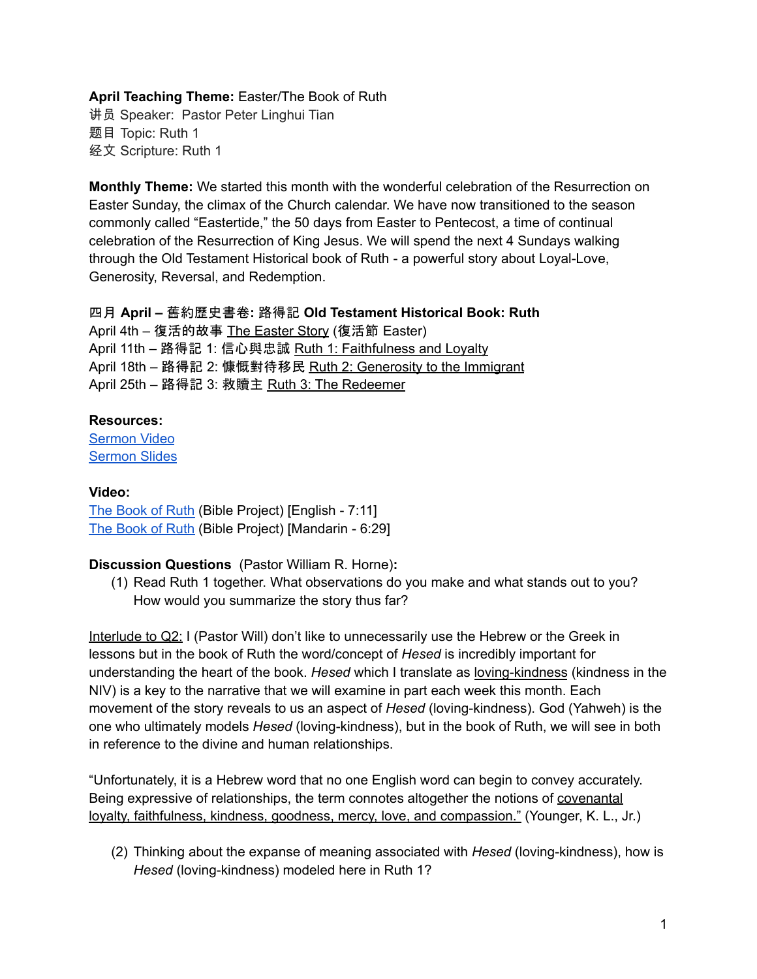## **April Teaching Theme:** Easter/The Book of Ruth

讲员 Speaker: Pastor Peter Linghui Tian 题目 Topic: Ruth 1 经文 Scripture: Ruth 1

**Monthly Theme:** We started this month with the wonderful celebration of the Resurrection on Easter Sunday, the climax of the Church calendar. We have now transitioned to the season commonly called "Eastertide," the 50 days from Easter to Pentecost, a time of continual celebration of the Resurrection of King Jesus. We will spend the next 4 Sundays walking through the Old Testament Historical book of Ruth - a powerful story about Loyal-Love, Generosity, Reversal, and Redemption.

四月 **April –** 舊約歷史書卷**:** 路得記 **Old Testament Historical Book: Ruth**

April 4th – 復活的故事 The Easter Story (復活節 Easter) April 11th – 路得記 1: 信心與忠誠 Ruth 1: Faithfulness and Loyalty April 18th - 路得記 2: 慷慨對待移民 Ruth 2: Generosity to the Immigrant April 25th – 路得記 3: 救贖主 Ruth 3: The Redeemer

## **Resources:**

[Sermon](https://www.youtube.com/watch?v=vhXSkbgrIfc) Video [Sermon](http://www.lcccky.org/CellGroup/Meetings/%E4%BA%BA%E7%94%9F%E7%9A%84%E6%8A%89%E6%8B%A9.pdf) Slides

## **Video:**

The [Book](https://bibleproject.com/explore/video/ruth) of Ruth (Bible Project) [English - 7:11] The [Book](https://www.youtube.com/watch?v=qBJDorKYt4U&list=PLE-R0uydm0uN0xKD3tw0aheiQojlf1JB1&index=34) of Ruth (Bible Project) [Mandarin - 6:29]

# **Discussion Questions** (Pastor William R. Horne)**:**

(1) Read Ruth 1 together. What observations do you make and what stands out to you? How would you summarize the story thus far?

Interlude to Q2: I (Pastor Will) don't like to unnecessarily use the Hebrew or the Greek in lessons but in the book of Ruth the word/concept of *Hesed* is incredibly important for understanding the heart of the book. *Hesed* which I translate as loving-kindness (kindness in the NIV) is a key to the narrative that we will examine in part each week this month. Each movement of the story reveals to us an aspect of *Hesed* (loving-kindness). God (Yahweh) is the one who ultimately models *Hesed* (loving-kindness), but in the book of Ruth, we will see in both in reference to the divine and human relationships.

"Unfortunately, it is a Hebrew word that no one English word can begin to convey accurately. Being expressive of relationships, the term connotes altogether the notions of covenantal loyalty, faithfulness, kindness, goodness, mercy, love, and compassion." (Younger, K. L., Jr.)

(2) Thinking about the expanse of meaning associated with *Hesed* (loving-kindness), how is *Hesed* (loving-kindness) modeled here in Ruth 1?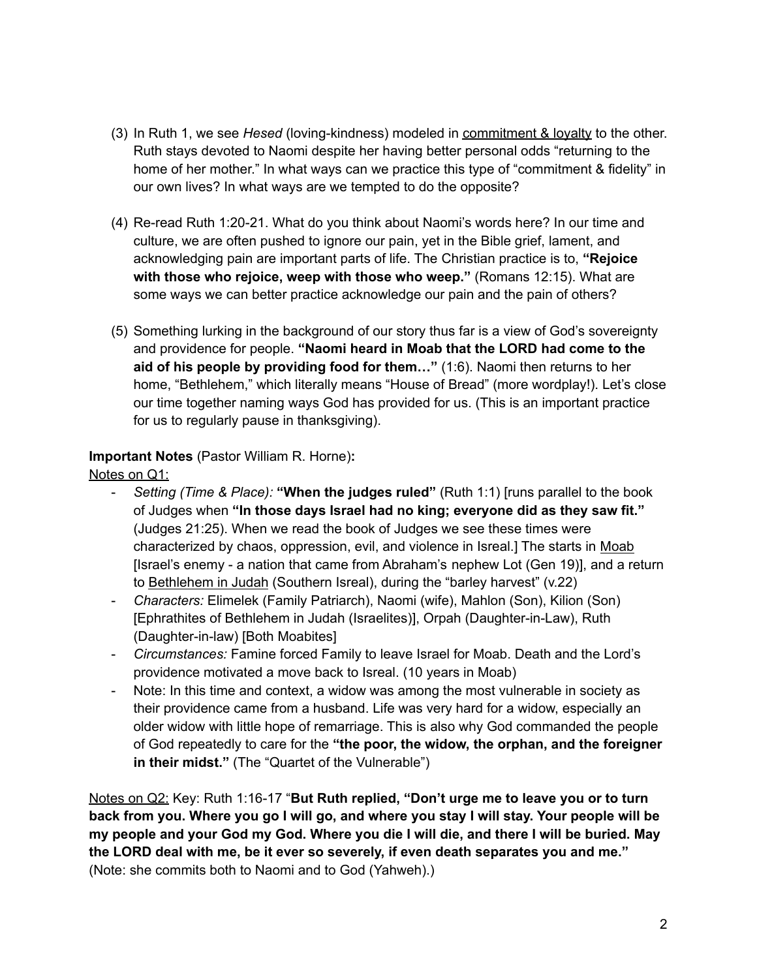- (3) In Ruth 1, we see *Hesed* (loving-kindness) modeled in commitment & loyalty to the other. Ruth stays devoted to Naomi despite her having better personal odds "returning to the home of her mother." In what ways can we practice this type of "commitment & fidelity" in our own lives? In what ways are we tempted to do the opposite?
- (4) Re-read Ruth 1:20-21. What do you think about Naomi's words here? In our time and culture, we are often pushed to ignore our pain, yet in the Bible grief, lament, and acknowledging pain are important parts of life. The Christian practice is to, **"Rejoice with those who rejoice, weep with those who weep."** (Romans 12:15). What are some ways we can better practice acknowledge our pain and the pain of others?
- (5) Something lurking in the background of our story thus far is a view of God's sovereignty and providence for people. **"Naomi heard in Moab that the LORD had come to the aid of his people by providing food for them…"** (1:6). Naomi then returns to her home, "Bethlehem," which literally means "House of Bread" (more wordplay!). Let's close our time together naming ways God has provided for us. (This is an important practice for us to regularly pause in thanksgiving).

# **Important Notes** (Pastor William R. Horne)**:**

Notes on Q1:

- *Setting (Time & Place):* **"When the judges ruled"** (Ruth 1:1) [runs parallel to the book of Judges when **"In those days Israel had no king; everyone did as they saw fit."** (Judges 21:25). When we read the book of Judges we see these times were characterized by chaos, oppression, evil, and violence in Isreal.] The starts in Moab [Israel's enemy - a nation that came from Abraham's nephew Lot (Gen 19)], and a return to Bethlehem in Judah (Southern Isreal), during the "barley harvest" (v.22)
- *Characters:* Elimelek (Family Patriarch), Naomi (wife), Mahlon (Son), Kilion (Son) [Ephrathites of Bethlehem in Judah (Israelites)], Orpah (Daughter-in-Law), Ruth (Daughter-in-law) [Both Moabites]
- *Circumstances:* Famine forced Family to leave Israel for Moab. Death and the Lord's providence motivated a move back to Isreal. (10 years in Moab)
- Note: In this time and context, a widow was among the most vulnerable in society as their providence came from a husband. Life was very hard for a widow, especially an older widow with little hope of remarriage. This is also why God commanded the people of God repeatedly to care for the **"the poor, the widow, the orphan, and the foreigner in their midst."** (The "Quartet of the Vulnerable")

Notes on Q2: Key: Ruth 1:16-17 "**But Ruth replied, "Don't urge me to leave you or to turn** back from you. Where you go I will go, and where you stay I will stay. Your people will be my people and your God my God. Where you die I will die, and there I will be buried. May **the LORD deal with me, be it ever so severely, if even death separates you and me."** (Note: she commits both to Naomi and to God (Yahweh).)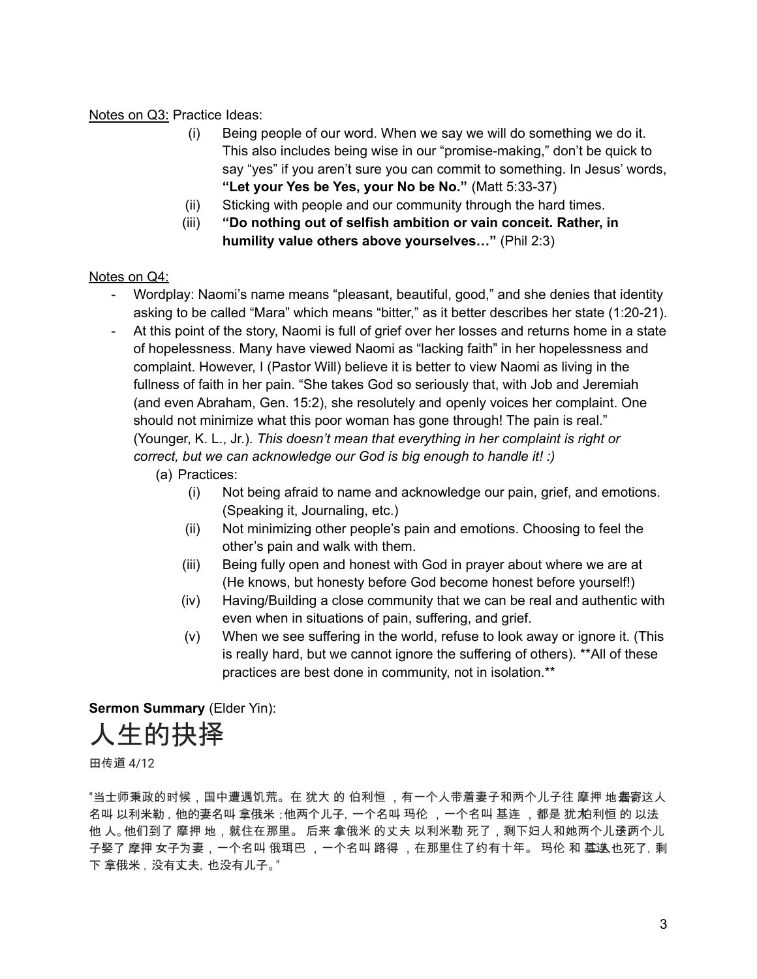## Notes on Q3: Practice Ideas:

- (i) Being people of our word. When we say we will do something we do it. This also includes being wise in our "promise-making," don't be quick to say "yes" if you aren't sure you can commit to something. In Jesus' words, **"Let your Yes be Yes, your No be No."** (Matt 5:33-37)
- (ii) Sticking with people and our community through the hard times.
- (iii) **"Do nothing out of selfish ambition or vain conceit. Rather, in humility value others above yourselves…"** (Phil 2:3)

## Notes on Q4:

- Wordplay: Naomi's name means "pleasant, beautiful, good," and she denies that identity asking to be called "Mara" which means "bitter," as it better describes her state (1:20-21).
- At this point of the story, Naomi is full of grief over her losses and returns home in a state of hopelessness. Many have viewed Naomi as "lacking faith" in her hopelessness and complaint. However, I (Pastor Will) believe it is better to view Naomi as living in the fullness of faith in her pain. "She takes God so seriously that, with Job and Jeremiah (and even Abraham, Gen. 15:2), she resolutely and openly voices her complaint. One should not minimize what this poor woman has gone through! The pain is real." (Younger, K. L., Jr.). *This doesn't mean that everything in her complaint is right or correct, but we can acknowledge our God is big enough to handle it! :)*
	- (a) Practices:
		- (i) Not being afraid to name and acknowledge our pain, grief, and emotions. (Speaking it, Journaling, etc.)
		- (ii) Not minimizing other people's pain and emotions. Choosing to feel the other's pain and walk with them.
		- (iii) Being fully open and honest with God in prayer about where we are at (He knows, but honesty before God become honest before yourself!)
		- (iv) Having/Building a close community that we can be real and authentic with even when in situations of pain, suffering, and grief.
		- (v) When we see suffering in the world, refuse to look away or ignore it. (This is really hard, but we cannot ignore the suffering of others). \*\*All of these practices are best done in community, not in isolation.\*\*

**Sermon Summary** (Elder Yin):

人生的抉择

田传道 4/12

"当士师秉政的时候,国中遭遇饥荒。在 犹大 的 伯利恒 ,有一个人带着妻子和两个儿子往 摩押 地塞寄这人 名叫 以利米勒,他的妻名叫 拿俄米 ;他两个儿子, 一个名叫 玛伦 ,一个名叫 基连 ,都是 犹 柏利恒 的 以法 他 人。他们到了 摩押 地,就住在那里。 后来 拿俄米 的丈夫 以利米勒 死了,剩下妇人和她两个儿逩两个儿 子娶了 摩押 女子为妻,一个名叫 俄珥巴 ,一个名叫 路得 ,在那里住了约有十年。 玛伦 和 基迭 也死了, 剩 下 拿俄米,没有丈夫,也没有儿子。"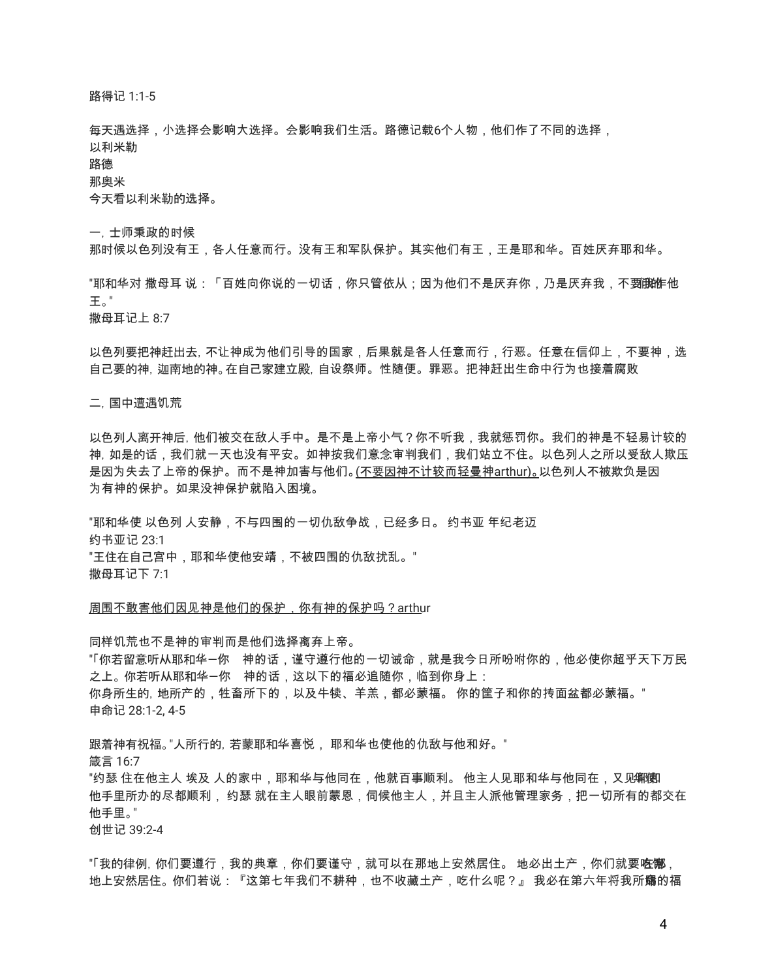路得记 1:1-5

每天遇选择,小选择会影响大选择。会影响我们生活。路德记载6个人物,他们作了不同的选择, 以利米勒

路德

那奥米

今天看以利米勒的选择。

一,士师秉政的时候

那时候以色列没有王,各人任意而行。没有王和军队保护。其实他们有王,王是耶和华。百姓厌弃耶和华。

"耶和华对 撒母耳 说:「百姓向你说的一切话,你只管依从;因为他们不是厌弃你,乃是厌弃我,不**要i脱**作他 王。"

撒母耳记上 8:7

以色列要把神赶出去,不让神成为他们引导的国家,后果就是各人任意而行,行恶。任意在信仰上,不要神,选 自己要的神,迦南地的神。在自己家建立殿,自设祭师。性随便。罪恶。把神赶出生命中行为也接着腐败

二,国中遭遇饥荒

以色列人离开神后,他们被交在敌人手中。是不是上帝小气?你不听我,我就惩罚你。我们的神是不轻易计较的 神, 如是的话,我们就一天也没有平安。如神按我们意念审判我们,我们站立不住。以色列人之所以受敌人欺压 是因为失去了上帝的保护。而不是神加害与他们。(不要因神不计较而轻曼神arthur)。以色列人不被欺负是因 为有神的保护。如果没神保护就陷入困境。

"耶和华使 以色列 人安静,不与四围的一切仇敌争战,已经多日。 约书亚 年纪老迈 约书亚记 23:1 "王住在自己宫中,耶和华使他安靖,不被四围的仇敌扰乱。" 撒母耳记下 7:1

周围不敢害他们因见神是他们的保护,你有神的保护吗?arthur

同样饥荒也不是神的审判而是他们选择离弃上帝。 "「你若留意听从耶和华─你 神的话,谨守遵行他的一切诫命,就是我今日所吩咐你的,他必使你超乎天下万民 之上。你若听从耶和华一你,神的话,这以下的福必追随你,临到你身上: 你身所生的,地所产的,牲畜所下的,以及牛犊、羊羔,都必蒙福。 你的筐子和你的抟面盆都必蒙福。" 申命记 28:1-2, 4-5

跟着神有祝福。"人所行的,若蒙耶和华喜悦, 耶和华也使他的仇敌与他和好。" 箴言 16:7 "约瑟 住在他主人 埃及 人的家中,耶和华与他同在,他就百事顺利。 他主人见耶和华与他同在,又见钢钢 他手里所办的尽都顺利, 约瑟 就在主人眼前蒙恩,伺候他主人,并且主人派他管理家务,把一切所有的都交在 他手里。" 创世记 39:2-4

"「我的律例, 你们要遵行,我的典章,你们要谨守,就可以在那地上安然居住。 地必出土产,你们就要**吃哪**, 地上安然居住。 你们若说:『这第七年我们不耕种,也不收藏土产,吃什么呢?』 我必在第六年将我所命赐的福

4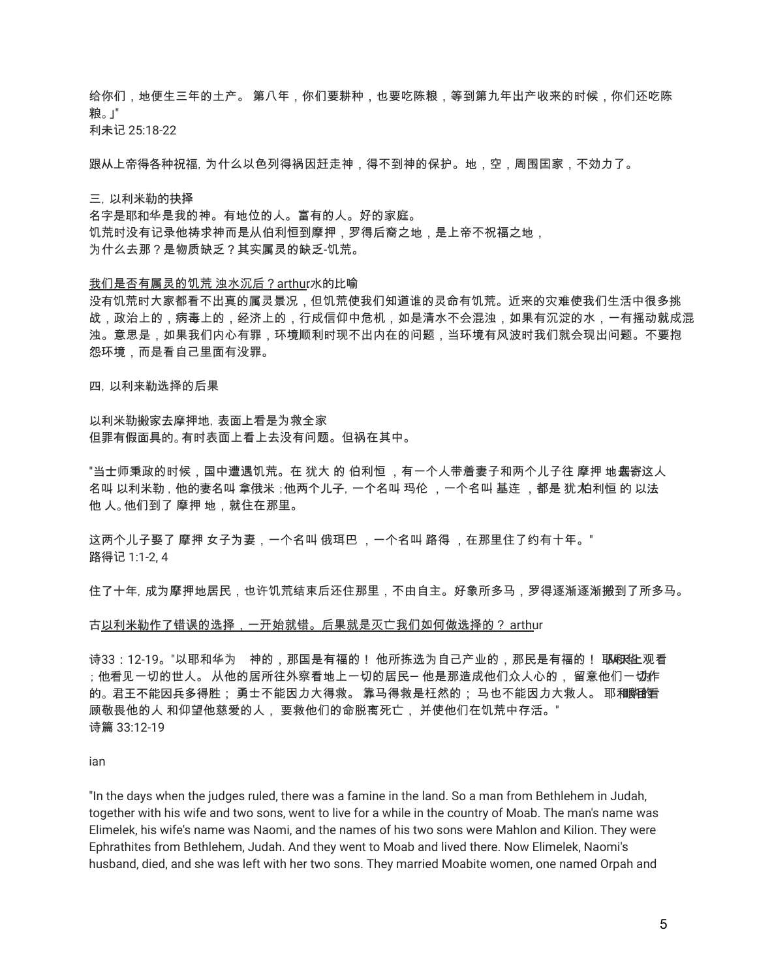给你们,地便生三年的土产。 第八年,你们要耕种,也要吃陈粮,等到第九年出产收来的时候,你们还吃陈 粮。」" 利未记 25:18-22

跟从上帝得各种祝福,为什么以色列得祸因赶走神,得不到神的保护。地,空,周围囯家,不効力了。

三,以利米勒的抉择 名字是耶和华是我的神。有地位的人。富有的人。好的家庭。 饥荒时没有记录他祷求神而是从伯利恒到摩押,罗得后裔之地,思上帝不祝福之地, 为什么去那?是物质缺乏?其实属灵的缺乏-饥荒。

我们是否有属灵的饥荒 浊水沉后?arthur水的比喻

没有饥荒时大家都看不出真的属灵景况,但饥荒使我们知道谁的灵命有饥荒。近来的灾难使我们生活中很多挑 战,政治上的,病毒上的,经济上的,行成信仰中危机,如是清水不会混浊,如果有沉淀的水,一有摇动就成混 浊。意思是,如果我们内心有罪,环境顺利时现不出内在的问题,当环境有风波时我们就会现出问题。不要抱 怨环境,而是看自己里面有没罪。

四,以利来勒选择的后果

以利米勒搬家去摩押地,表面上看是为救全家 但罪有假面具的。有时表面上看上去没有问题。但祸在其中。

"当士师秉政的时候,国中遭遇饥荒。在 犹大 的 伯利恒 ,有一个人带着妻子和两个儿子往 摩押 地**塞**寄这人 名叫 以利米勒,他的妻名叫 拿俄米 ;他两个儿子, 一个名叫 玛伦 ,一个名叫 基连 ,都是 犹 柏利恒 的 以法 他 人。他们到了 摩押 地,就住在那里。

这两个儿子娶了 摩押 女子为妻,一个名叫 俄珥巴 ,一个名叫 路得 ,在那里住了约有十年。" 路得记 1:1-2, 4

住了十年,成为摩押地居民,也许饥荒结束后还住那里,不由自主。好象所多马,罗得逐渐逐渐搬到了所多马。

#### 古以利米勒作了错误的选择,一开始就错。后果就是灭亡我们如何做选择的? arthur

诗33:12-19。"以耶和华为 神的,那国是有福的! 他所拣选为自己产业的,那民是有福的! 耶麻色亚纲看 ;他看见一切的世人。 从他的居所往外察看地上一切的居民一 他是那造成他们众人心的, 留意他们一**切作** 的。君王不能因兵多得胜; 勇士不能因力大得救。 靠马得救是枉然的; 马也不能因力大救人。 耶和<del>鄭</del> 顾敬畏他的人 和仰望他慈爱的人, 要救他们的命脱离死亡, 并使他们在饥荒中存活。" 诗篇 33:12-19

ian

"In the days when the judges ruled, there was a famine in the land. So a man from Bethlehem in Judah, together with his wife and two sons, went to live for a while in the country of Moab. The man's name was Elimelek, his wife's name was Naomi, and the names of his two sons were Mahlon and Kilion. They were Ephrathites from Bethlehem, Judah. And they went to Moab and lived there. Now Elimelek, Naomi's husband, died, and she was left with her two sons. They married Moabite women, one named Orpah and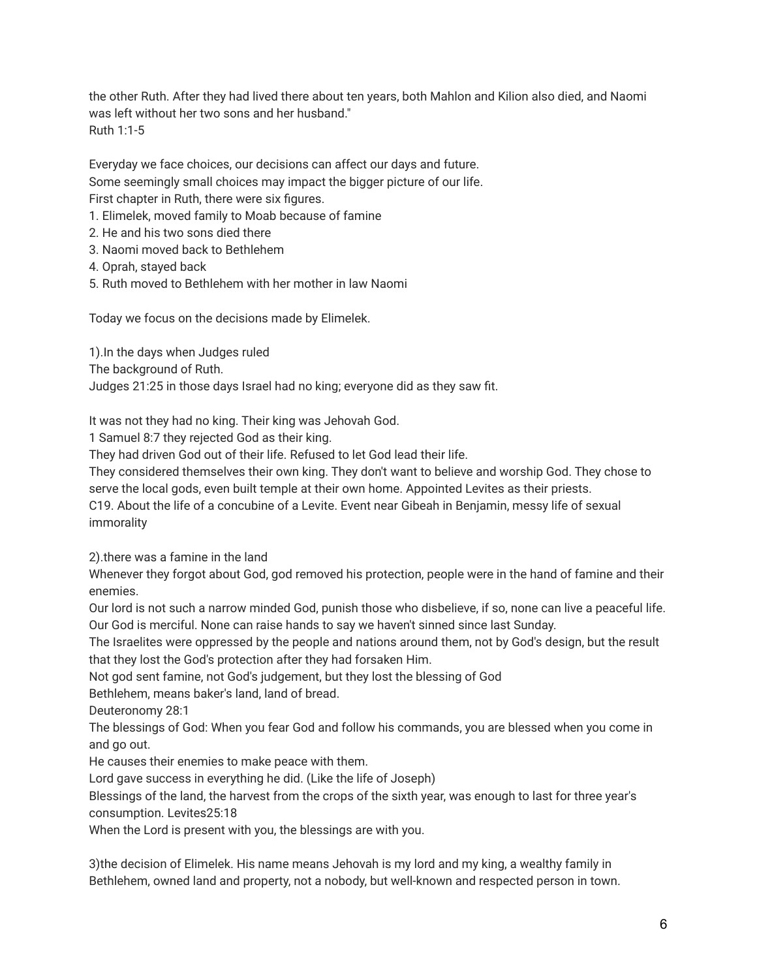the other Ruth. After they had lived there about ten years, both Mahlon and Kilion also died, and Naomi was left without her two sons and her husband." Ruth 1:1-5

Everyday we face choices, our decisions can affect our days and future. Some seemingly small choices may impact the bigger picture of our life. First chapter in Ruth, there were six figures.

- 1. Elimelek, moved family to Moab because of famine
- 2. He and his two sons died there
- 3. Naomi moved back to Bethlehem
- 4. Oprah, stayed back
- 5. Ruth moved to Bethlehem with her mother in law Naomi

Today we focus on the decisions made by Elimelek.

1).In the days when Judges ruled

The background of Ruth.

Judges 21:25 in those days Israel had no king; everyone did as they saw fit.

It was not they had no king. Their king was Jehovah God.

1 Samuel 8:7 they rejected God as their king.

They had driven God out of their life. Refused to let God lead their life.

They considered themselves their own king. They don't want to believe and worship God. They chose to serve the local gods, even built temple at their own home. Appointed Levites as their priests.

C19. About the life of a concubine of a Levite. Event near Gibeah in Benjamin, messy life of sexual immorality

2).there was a famine in the land

Whenever they forgot about God, god removed his protection, people were in the hand of famine and their enemies.

Our lord is not such a narrow minded God, punish those who disbelieve, if so, none can live a peaceful life. Our God is merciful. None can raise hands to say we haven't sinned since last Sunday.

The Israelites were oppressed by the people and nations around them, not by God's design, but the result that they lost the God's protection after they had forsaken Him.

Not god sent famine, not God's judgement, but they lost the blessing of God

Bethlehem, means baker's land, land of bread.

Deuteronomy 28:1

The blessings of God: When you fear God and follow his commands, you are blessed when you come in and go out.

He causes their enemies to make peace with them.

Lord gave success in everything he did. (Like the life of Joseph)

Blessings of the land, the harvest from the crops of the sixth year, was enough to last for three year's consumption. Levites25:18

When the Lord is present with you, the blessings are with you.

3)the decision of Elimelek. His name means Jehovah is my lord and my king, a wealthy family in Bethlehem, owned land and property, not a nobody, but well-known and respected person in town.